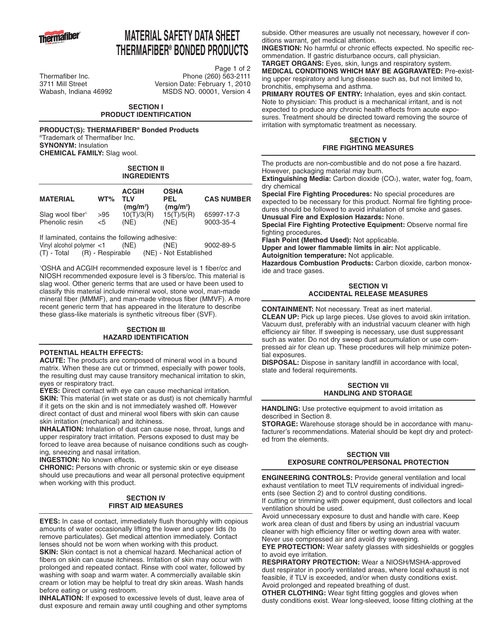

# **MATERIAL SAFETY DATA SHEET THERMAFIBER® BONDED PRODUCTS**

Page 1 of 2 Thermafiber Inc.<br>
3711 Mill Street Version Date: February 1. 2010 Version Date: February 1, 2010 Wabash, Indiana 46992 MSDS NO. 00001, Version 4

### **SECTION I PRODUCT IDENTIFICATION**

**PRODUCT(S): THERMAFIBER® Bonded Products** ®Trademark of Thermafiber Inc. **SYNONYM:** Insulation **CHEMICAL FAMILY:** Slag wool.

#### **SECTION II INGREDIENTS**

| <b>MATERIAL</b>              | $WT\%$       | <b>ACGIH</b><br>TI V<br>(mq/m <sup>3</sup> ) | <b>OSHA</b><br><b>PEL</b><br>(mg/m <sup>3</sup> ) | <b>CAS NUMBER</b> |
|------------------------------|--------------|----------------------------------------------|---------------------------------------------------|-------------------|
| Slag wool fiber <sup>1</sup> | >95          | 10(T)/3(R)                                   | 15(T)/5(R)                                        | 65997-17-3        |
| Phenolic resin               | $\epsilon$ 5 | (NE)                                         | (NE)                                              | 9003-35-4         |

If laminated, contains the following adhesive:<br>Vinyl alcohol polymer <1 (NE) (NE) Vinyl alcohol polymer  $<1$  (NE) (NE) 9002-89-5 (T) - Total (R) - Respirable (NE) - Not Established

1 OSHA and ACGIH recommended exposure level is 1 fiber/cc and NIOSH recommended exposure level is 3 fibers/cc. This material is slag wool. Other generic terms that are used or have been used to classify this material include mineral wool, stone wool, man-made mineral fiber (MMMF), and man-made vitreous fiber (MMVF). A more recent generic term that has appeared in the literature to describe these glass-like materials is synthetic vitreous fiber (SVF).

## **SECTION III HAZARD IDENTIFICATION**

## **POTENTIAL HEALTH EFFECTS:**

**ACUTE:** The products are composed of mineral wool in a bound matrix. When these are cut or trimmed, especially with power tools, the resulting dust may cause transitory mechanical irritation to skin, eyes or respiratory tract.

**EYES:** Direct contact with eye can cause mechanical irritation. **SKIN:** This material (in wet state or as dust) is not chemically harmful if it gets on the skin and is not immediately washed off. However direct contact of dust and mineral wool fibers with skin can cause skin irritation (mechanical) and itchiness.

**INHALATION:** Inhalation of dust can cause nose, throat, lungs and upper respiratory tract irritation. Persons exposed to dust may be forced to leave area because of nuisance conditions such as coughing, sneezing and nasal irritation.

**INGESTION:** No known effects.

**CHRONIC:** Persons with chronic or systemic skin or eye disease should use precautions and wear all personal protective equipment when working with this product.

## **SECTION IV FIRST AID MEASURES**

**EYES:** In case of contact, immediately flush thoroughly with copious amounts of water occasionally lifting the lower and upper lids (to remove particulates). Get medical attention immediately. Contact lenses should not be worn when working with this product.

**SKIN:** Skin contact is not a chemical hazard. Mechanical action of fibers on skin can cause itchiness. Irritation of skin may occur with prolonged and repeated contact. Rinse with cool water, followed by washing with soap and warm water. A commercially available skin cream or lotion may be helpful to treat dry skin areas. Wash hands before eating or using restroom.

**INHALATION:** If exposed to excessive levels of dust, leave area of dust exposure and remain away until coughing and other symptoms subside. Other measures are usually not necessary, however if conditions warrant, get medical attention.

**INGESTION:** No harmful or chronic effects expected. No specific recommendation. If gastric disturbance occurs, call physician.

**TARGET ORGANS:** Eyes, skin, lungs and respiratory system. **MEDICAL CONDITIONS WHICH MAY BE AGGRAVATED:** Pre-existing upper respiratory and lung disease such as, but not limited to, bronchitis, emphysema and asthma.

**PRIMARY ROUTES OF ENTRY:** Inhalation, eyes and skin contact. Note to physician: This product is a mechanical irritant, and is not expected to produce any chronic health effects from acute exposures. Treatment should be directed toward removing the source of irritation with symptomatic treatment as necessary.

## **SECTION V FIRE FIGHTING MEASURES**

The products are non-combustible and do not pose a fire hazard. However, packaging material may burn.

**Extinguishing Media:** Carbon dioxide (CO<sub>2</sub>), water, water fog, foam, dry chemical

**Special Fire Fighting Procedures:** No special procedures are expected to be necessary for this product. Normal fire fighting procedures should be followed to avoid inhalation of smoke and gases. **Unusual Fire and Explosion Hazards:** None.

**Special Fire Fighting Protective Equipment:** Observe normal fire fighting procedures.

**Flash Point (Method Used):** Not applicable. **Upper and lower flammable limits in air:** Not applicable.

**Autoignition temperature:** Not applicable.

**Hazardous Combustion Products:** Carbon dioxide, carbon monoxide and trace gases.

## **SECTION VI ACCIDENTAL RELEASE MEASURES**

**CONTAINMENT:** Not necessary. Treat as inert material.

**CLEAN UP:** Pick up large pieces. Use gloves to avoid skin irritation. Vacuum dust, preferably with an industrial vacuum cleaner with high efficiency air filter. If sweeping is necessary, use dust suppressant such as water. Do not dry sweep dust accumulation or use compressed air for clean up. These procedures will help minimize poten-.<br>tial exposures.

**DISPOSAL:** Dispose in sanitary landfill in accordance with local, state and federal requirements.

## **SECTION VII HANDLING AND STORAGE**

**HANDLING:** Use protective equipment to avoid irritation as described in Section 8.

**STORAGE:** Warehouse storage should be in accordance with manufacturer's recommendations. Material should be kept dry and protected from the elements.

## **SECTION VIII EXPOSURE CONTROL/PERSONAL PROTECTION**

**ENGINEERING CONTROLS:** Provide general ventilation and local exhaust ventilation to meet TLV requirements of individual ingredients (see Section 2) and to control dusting conditions. If cutting or trimming with power equipment, dust collectors and local

ventilation should be used. Avoid unnecessary exposure to dust and handle with care. Keep work area clean of dust and fibers by using an industrial vacuum

cleaner with high efficiency filter or wetting down area with water. Never use compressed air and avoid dry sweeping.

**EYE PROTECTION:** Wear safety glasses with sideshields or goggles to avoid eye irritation.

**RESPIRATORY PROTECTION:** Wear a NIOSH/MSHA-approved dust respirator in poorly ventilated areas, where local exhaust is not feasible, if TLV is exceeded, and/or when dusty conditions exist. Avoid prolonged and repeated breathing of dust.

**OTHER CLOTHING:** Wear tight fitting goggles and gloves when dusty conditions exist. Wear long-sleeved, loose fitting clothing at the